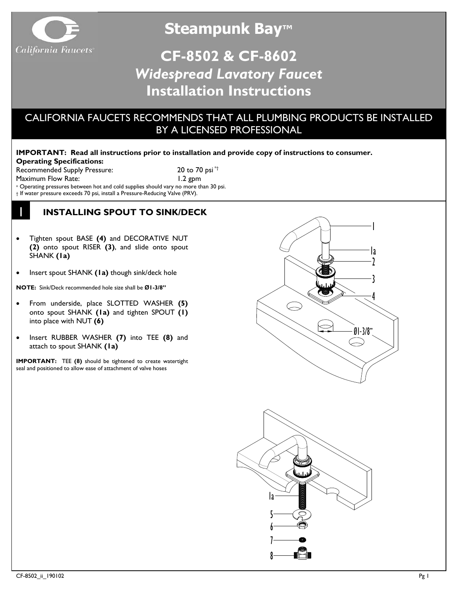

**Steampunk Bay™**

# **CF-8502 & CF-8602** *Widespread Lavatory Faucet* **Installation Instructions**

# CALIFORNIA FAUCETS RECOMMENDS THAT ALL PLUMBING PRODUCTS BE INSTALLED BY A LICENSED PROFESSIONAL

### **IMPORTANT: Read all instructions prior to installation and provide copy of instructions to consumer. Operating Specifications:**

Recommended Supply Pressure: 20 to 70 psi \*† Maximum Flow Rate: 1.2 gpm

1

\* Operating pressures between hot and cold supplies should vary no more than 30 psi.

† If water pressure exceeds 70 psi, install a Pressure-Reducing Valve (PRV).

## **INSTALLING SPOUT TO SINK/DECK**

- Tighten spout BASE **(4)** and DECORATIVE NUT **(2)** onto spout RISER **(3)**, and slide onto spout SHANK **(1a)**
- Insert spout SHANK **(1a)** though sink/deck hole

**NOTE:** Sink/Deck recommended hole size shall be **Ø1-3/8"**

- From underside, place SLOTTED WASHER **(5)**  onto spout SHANK **(1a)** and tighten SPOUT **(1)** into place with NUT **(6)**
- Insert RUBBER WASHER **(7)** into TEE **(8)** and attach to spout SHANK **(1a)**

**IMPORTANT:** TEE **(8)** should be tightened to create watertight seal and positioned to allow ease of attachment of valve hoses



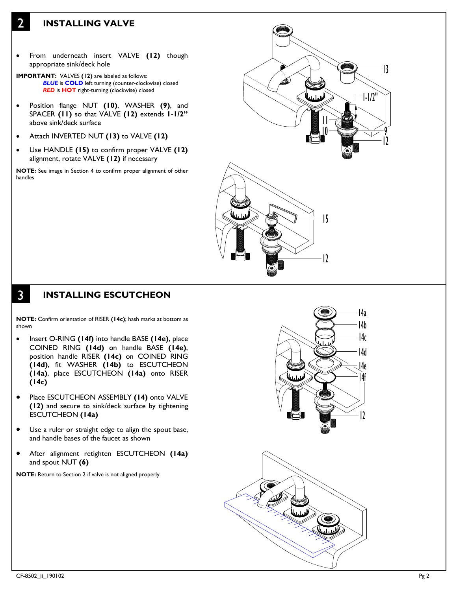### **INSTALLING VALVE**

2

- From underneath insert VALVE **(12)** though appropriate sink/deck hole
- **IMPORTANT:** VALVES **(12)** are labeled as follows: *BLUE* is **COLD** left turning (counter-clockwise) closed *RED* is **HOT** right-turning (clockwise) closed
- Position flange NUT **(10)**, WASHER **(9)**, and SPACER **(11)** so that VALVE **(12)** extends **1-1/2"** above sink/deck surface
- Attach INVERTED NUT **(13)** to VALVE **(12)**
- Use HANDLE **(15)** to confirm proper VALVE **(12)** alignment, rotate VALVE **(12)** if necessary

**NOTE:** See image in Section 4 to confirm proper alignment of other handles



#### 3 **INSTALLING ESCUTCHEON**

**NOTE:** Confirm orientation of RISER **(14c)**; hash marks at bottom as shown

- Insert O-RING **(14f)** into handle BASE **(14e)**, place COINED RING **(14d)** on handle BASE **(14e)**, position handle RISER **(14c)** on COINED RING **(14d)**, fit WASHER **(14b)** to ESCUTCHEON **(14a)**, place ESCUTCHEON **(14a)** onto RISER **(14c)**
- Place ESCUTCHEON ASSEMBLY **(14)** onto VALVE **(12)** and secure to sink/deck surface by tightening ESCUTCHEON **(14a)**
- Use a ruler or straight edge to align the spout base, and handle bases of the faucet as shown
- After alignment retighten ESCUTCHEON **(14a)** and spout NUT **(6)**

**NOTE:** Return to Section 2 if valve is not aligned properly

![](_page_1_Picture_15.jpeg)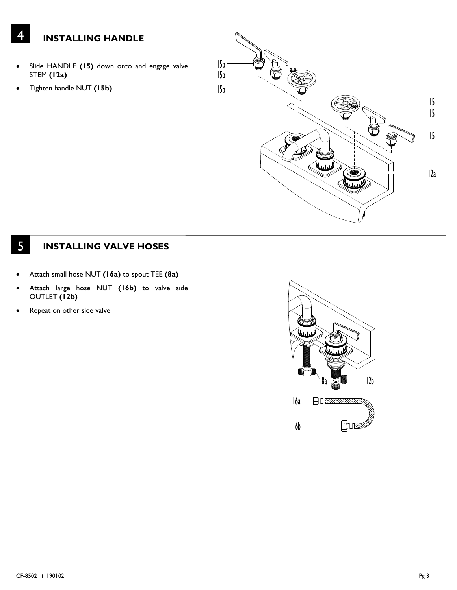## **INSTALLING HANDLE**

- Slide HANDLE **(15)** down onto and engage valve STEM **(12a)**
- Tighten handle NUT **(15b)**

4

![](_page_2_Picture_3.jpeg)

#### 5 **INSTALLING VALVE HOSES**

- Attach small hose NUT **(16a)** to spout TEE **(8a)**
- Attach large hose NUT **(16b)** to valve side OUTLET **(12b)**
- Repeat on other side valve

![](_page_2_Picture_8.jpeg)